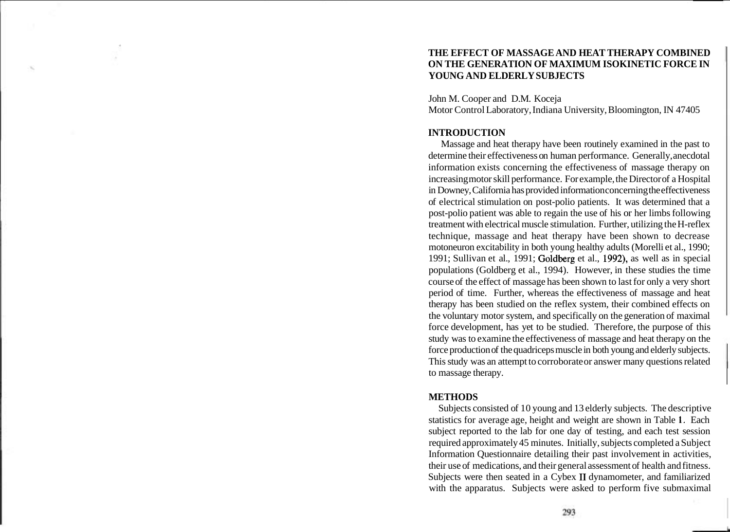## **THE EFFECT OF MASSAGE AND HEAT THERAPY COMBINED ON THE GENERATION OF MAXIMUM ISOKINETIC FORCE IN YOUNG AND ELDERLY SUBJECTS**

John M. Cooper and D.M. Koceja Motor Control Laboratory, Indiana University, Bloomington, IN 47405

## **INTRODUCTION**

Massage and heat therapy have been routinely examined in the past to determine their effectiveness on human performance. Generally, anecdotal information exists concerning the effectiveness of massage therapy on increasing motor skill performance. For example, the Director of a Hospital in Downey, California has provided information concerning the effectiveness of electrical stimulation on post-polio patients. It was determined that a post-polio patient was able to regain the use of his or her limbs following treatment with electrical muscle stimulation. Further, utilizing the H-reflex technique, massage and heat therapy have been shown to decrease motoneuron excitability in both young healthy adults (Morelli et al., 1990; 1991; Sullivan et al., 1991; Goldberg et al., 1992), as well as in special populations (Goldberg et al., 1994). However, in these studies the time course of the effect of massage has been shown to last for only a very short period of time. Further, whereas the effectiveness of massage and heat therapy has been studied on the reflex system, their combined effects on the voluntary motor system, and specifically on the generation of maximal force development, has yet to be studied. Therefore, the purpose of this study was to examine the effectiveness of massage and heat therapy on the force production of the quadriceps muscle in both young and elderly subjects. This study was an attempt to corroborate or answer many questions related to massage therapy.

## **METHODS**

Subjects consisted of 10 young and 13 elderly subjects. The descriptive statistics for average age, height and weight are shown in Table 1. Each subject reported to the lab for one day of testing, and each test session required approximately 45 minutes. Initially, subjects completed a Subject Information Questionnaire detailing their past involvement in activities, their use of medications, and their general assessment of health and fitness. Subjects were then seated in a Cybex II dynamometer, and familiarized with the apparatus. Subjects were asked to perform five submaximal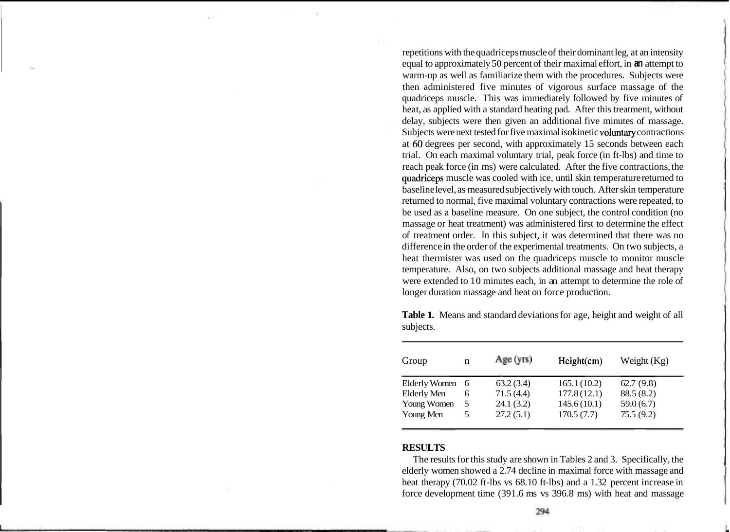repetitions with the quadriceps muscle of their dominant leg, at an intensity equal to approximately 50 percent of their maximal effort, in **an** attempt to warm-up as well as familiarize them with the procedures. Subjects were then administered five minutes of vigorous surface massage of the quadriceps muscle. This was immediately followed by five minutes of heat, as applied with a standard heating pad. After this treatment, without delay, subjects were then given an additional five minutes of massage. Subjects were next tested for five maximal isokinetic voluntary contractions at 60 degrees per second, with approximately 15 seconds between each trial. On each maximal voluntary trial, peak force (in ft-lbs) and time to reach peak force (in ms) were calculated. After the five contractions, the quadriceps muscle was cooled with ice, until skin temperature returned to baseline level, as measured subjectively with touch. After skin temperature returned to normal, five maximal voluntary contractions were repeated, to be used as a baseline measure. On one subject, the control condition (no massage or heat treatment) was administered first to determine the effect of treatment order. In this subject, it was determined that there was no difference in the order of the experimental treatments. On two subjects, a heat thermister was used on the quadriceps muscle to monitor muscle temperature. Also, on two subjects additional massage and heat therapy were extended to 10 minutes each, in an attempt to determine the role of longer duration massage and heat on force production.

| Group                | n  | Age (yrs) | Height(cm)  | Weight $(Kg)$ |
|----------------------|----|-----------|-------------|---------------|
| <b>Elderly Women</b> | -6 | 63.2(3.4) | 165.1(10.2) | 62.7(9.8)     |
| <b>Elderly Men</b>   | 6  | 71.5(4.4) | 177.8(12.1) | 88.5(8.2)     |
| Young Women          |    | 24.1(3.2) | 145.6(10.1) | 59.0(6.7)     |
| Young Men            |    | 27.2(5.1) | 170.5(7.7)  | 75.5(9.2)     |

**Table 1.** Means and standard deviations for age, height and weight of all subjects.

# **RESULTS**

The results for this study are shown in Tables 2 and 3. Specifically, the elderly women showed a 2.74 decline in maximal force with massage and heat therapy (70.02 ft-lbs vs 68.10 ft-lbs) and a 1.32 percent increase in force development time (391.6 ms vs 396.8 ms) with heat and massage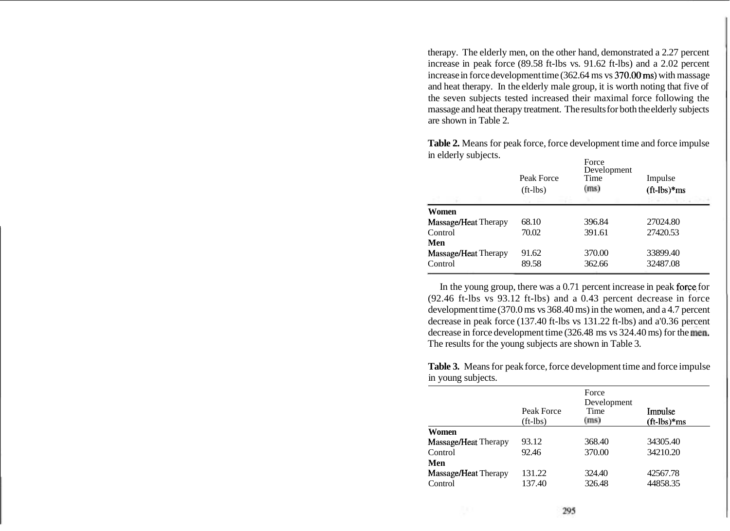therapy. The elderly men, on the other hand, demonstrated a 2.27 percent increase in peak force (89.58 ft-lbs vs. 91.62 ft-lbs) and a 2.02 percent increase in force development time (362.64 ms vs 370.00 ms) with massage and heat therapy. In the elderly male group, it is worth noting that five of the seven subjects tested increased their maximal force following the massage and heat therapy treatment. The results for both the elderly subjects are shown in Table 2.

**Table 2.** Means for peak force, force development time and force impulse in elderly subjects.

|                      | Peak Force<br>$(ft-lbs)$ | Force<br>Development<br>Time<br>(m <sub>s</sub> ) | Impulse<br>$({\rm ft-lbs})$ *ms |
|----------------------|--------------------------|---------------------------------------------------|---------------------------------|
| Women                |                          |                                                   |                                 |
| Massage/Heat Therapy | 68.10                    | 396.84                                            | 27024.80                        |
| Control              | 70.02                    | 391.61                                            | 27420.53                        |
| Men                  |                          |                                                   |                                 |
| Massage/Heat Therapy | 91.62                    | 370.00                                            | 33899.40                        |
| Control              | 89.58                    | 362.66                                            | 32487.08                        |
|                      |                          |                                                   |                                 |

In the young group, there was a  $0.71$  percent increase in peak force for (92.46 ft-lbs vs 93.12 ft-lbs) and a 0.43 percent decrease in force development time (370.0 ms vs 368.40 ms) in the women, and a 4.7 percent decrease in peak force (137.40 ft-lbs vs 131.22 ft-lbs) and a'0.36 percent decrease in force development time  $(326.48 \text{ ms vs } 324.40 \text{ ms})$  for the men. The results for the young subjects are shown in Table 3.

**Table 3.** Means for peak force, force development time and force impulse in young subjects.

|                      | Peak Force<br>$(ft-lbs)$ | Force<br>Development<br>Time<br>(m <sub>s</sub> ) | Impulse<br>$({\rm ft-lbs})$ *ms |
|----------------------|--------------------------|---------------------------------------------------|---------------------------------|
| Women                |                          |                                                   |                                 |
| Massage/Heat Therapy | 93.12                    | 368.40                                            | 34305.40                        |
| Control              | 92.46                    | 370.00                                            | 34210.20                        |
| Men                  |                          |                                                   |                                 |
| Massage/Heat Therapy | 131.22                   | 324.40                                            | 42567.78                        |
| Control              | 137.40                   | 326.48                                            | 44858.35                        |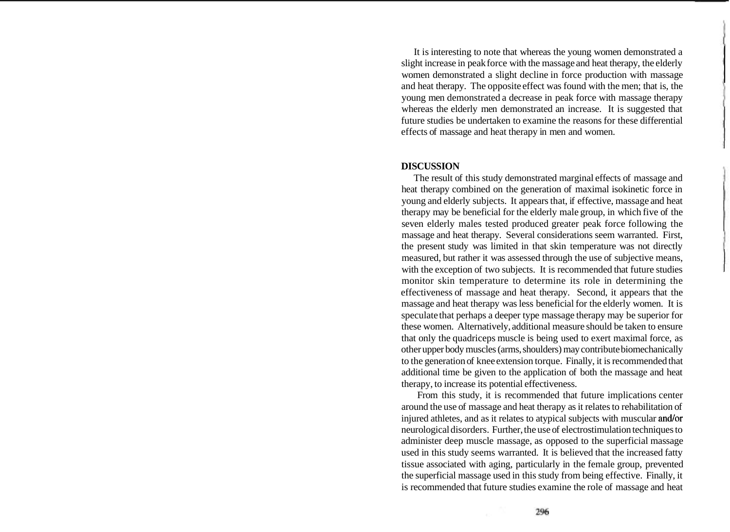It is interesting to note that whereas the young women demonstrated a slight increase in peak force with the massage and heat therapy, the elderly women demonstrated a slight decline in force production with massage and heat therapy. The opposite effect was found with the men; that is, the young men demonstrated a decrease in peak force with massage therapy whereas the elderly men demonstrated an increase. It is suggested that future studies be undertaken to examine the reasons for these differential effects of massage and heat therapy in men and women.

#### **DISCUSSION**

The result of this study demonstrated marginal effects of massage and heat therapy combined on the generation of maximal isokinetic force in young and elderly subjects. It appears that, if effective, massage and heat therapy may be beneficial for the elderly male group, in which five of the seven elderly males tested produced greater peak force following the massage and heat therapy. Several considerations seem warranted. First, the present study was limited in that skin temperature was not directly measured, but rather it was assessed through the use of subjective means, with the exception of two subjects. It is recommended that future studies monitor skin temperature to determine its role in determining the effectiveness of massage and heat therapy. Second, it appears that the massage and heat therapy was less beneficial for the elderly women. It is speculate that perhaps a deeper type massage therapy may be superior for these women. Alternatively, additional measure should be taken to ensure that only the quadriceps muscle is being used to exert maximal force, as other upper body muscles (arms, shoulders) may contribute biomechanically to the generation of knee extension torque. Finally, it is recommended that additional time be given to the application of both the massage and heat therapy, to increase its potential effectiveness.

From this study, it is recommended that future implications center around the use of massage and heat therapy as it relates to rehabilitation of injured athletes, and as it relates to atypical subjects with muscular and/or neurological disorders. Further, the use of electrostimulation techniques to administer deep muscle massage, as opposed to the superficial massage used in this study seems warranted. It is believed that the increased fatty tissue associated with aging, particularly in the female group, prevented the superficial massage used in this study from being effective. Finally, it is recommended that future studies examine the role of massage and heat